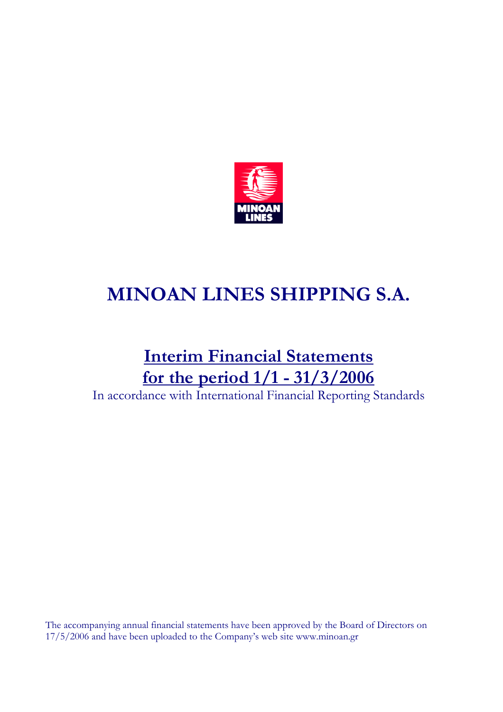

# MINOAN LINES SHIPPING S.A.

# Interim Financial Statements for the period 1/1 - 31/3/2006

In accordance with International Financial Reporting Standards

The accompanying annual financial statements have been approved by the Board of Directors on 17/5/2006 and have been uploaded to the Company's web site www.minoan.gr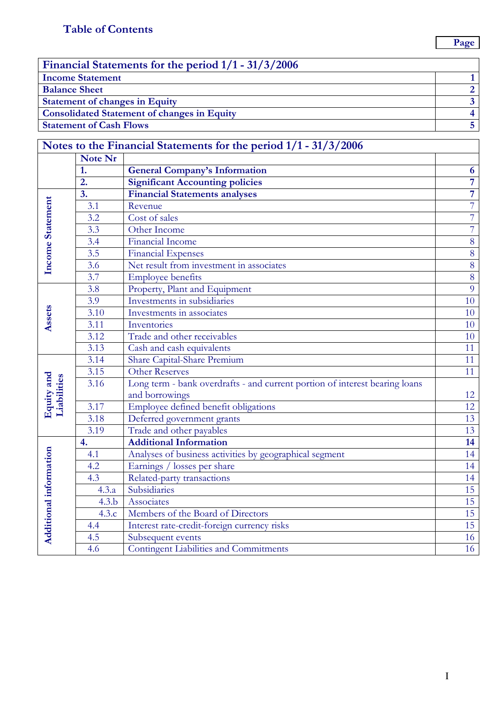| Financial Statements for the period 1/1 - 31/3/2006 |  |
|-----------------------------------------------------|--|
| <b>Income Statement</b>                             |  |
| <b>Balance Sheet</b>                                |  |
| <b>Statement of changes in Equity</b>               |  |
| <b>Consolidated Statement of changes in Equity</b>  |  |
| <b>Statement of Cash Flows</b>                      |  |

## Notes to the Financial Statements for the period 1/1 - 31/3/2006

|                           | Note Nr           |                                                                             |                 |
|---------------------------|-------------------|-----------------------------------------------------------------------------|-----------------|
|                           | 1.                | <b>General Company's Information</b>                                        | 6               |
|                           | $\overline{2}$ .  | <b>Significant Accounting policies</b>                                      | $\overline{7}$  |
|                           | $\overline{3}$ .  | <b>Financial Statements analyses</b>                                        | $\overline{7}$  |
| Income Statement          | 3.1               | Revenue                                                                     | $\overline{7}$  |
|                           | 3.2               | Cost of sales                                                               | $\overline{7}$  |
|                           | 3.3               | Other Income                                                                | $\overline{7}$  |
|                           | $\overline{3.4}$  | <b>Financial Income</b>                                                     | $\overline{8}$  |
|                           | 3.5               | <b>Financial Expenses</b>                                                   | $8\,$           |
|                           | 3.6               | Net result from investment in associates                                    | $\overline{8}$  |
|                           | 3.7               | <b>Employee benefits</b>                                                    | $\overline{8}$  |
|                           | 3.8               | Property, Plant and Equipment                                               | $\overline{9}$  |
|                           | 3.9               | Investments in subsidiaries                                                 | 10              |
|                           | $\overline{3.10}$ | Investments in associates                                                   | 10              |
| Assets                    | 3.11              | Inventories                                                                 | 10              |
|                           | 3.12              | Trade and other receivables                                                 | 10              |
|                           | 3.13              | Cash and cash equivalents                                                   | 11              |
|                           | 3.14              | Share Capital-Share Premium                                                 | 11              |
|                           | $\frac{1}{3.15}$  | <b>Other Reserves</b>                                                       | 11              |
|                           | 3.16              | Long term - bank overdrafts - and current portion of interest bearing loans |                 |
|                           |                   | and borrowings                                                              | 12              |
| Equity and<br>Liabilities | 3.17              | Employee defined benefit obligations                                        | 12              |
|                           | 3.18              | Deferred government grants                                                  | 13              |
|                           | 3.19              | Trade and other payables                                                    | $\overline{13}$ |
|                           | 4.                | <b>Additional Information</b>                                               | 14              |
|                           | 4.1               | Analyses of business activities by geographical segment                     | 14              |
|                           | 4.2               | Earnings / losses per share                                                 | 14              |
|                           | 4.3               | Related-party transactions                                                  | 14              |
|                           | 4.3.a             | Subsidiaries                                                                | 15              |
|                           | 4.3.b             | Associates                                                                  | 15              |
|                           | 4.3.c             | Members of the Board of Directors                                           | 15              |
| Additional information    | 4.4               | Interest rate-credit-foreign currency risks                                 | 15              |
|                           | 4.5               | Subsequent events                                                           | 16              |
|                           | 4.6               | <b>Contingent Liabilities and Commitments</b>                               | 16              |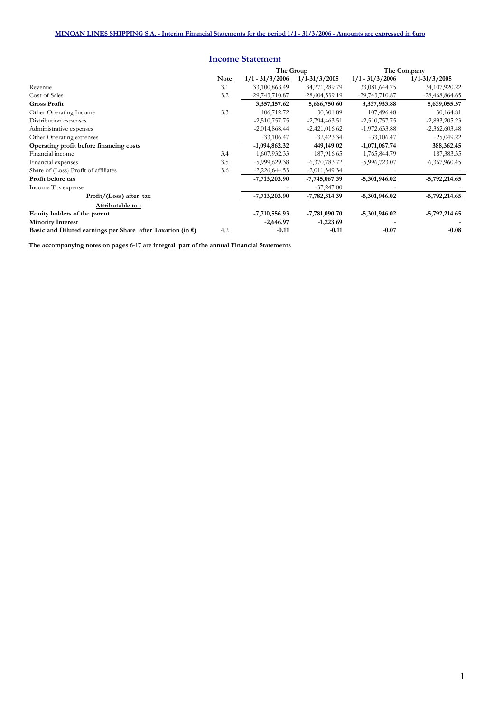|                                                                      |             | <b>Income Statement</b> |                   |                   |                   |
|----------------------------------------------------------------------|-------------|-------------------------|-------------------|-------------------|-------------------|
|                                                                      |             | The Group               | The Company       |                   |                   |
|                                                                      | <b>Note</b> | $1/1 - 31/3/2006$       | $1/1 - 31/3/2005$ | $1/1 - 31/3/2006$ | $1/1 - 31/3/2005$ |
| Revenue                                                              | 3.1         | 33,100,868.49           | 34,271,289.79     | 33,081,644.75     | 34,107,920.22     |
| Cost of Sales                                                        | 3.2         | $-29,743,710.87$        | $-28,604,539.19$  | $-29,743,710.87$  | $-28,468,864.65$  |
| <b>Gross Profit</b>                                                  |             | 3,357,157.62            | 5,666,750.60      | 3,337,933.88      | 5,639,055.57      |
| Other Operating Income                                               | 3.3         | 106,712.72              | 30,301.89         | 107,496.48        | 30,164.81         |
| Distribution expenses                                                |             | $-2,510,757.75$         | $-2,794,463.51$   | $-2,510,757.75$   | $-2,893,205.23$   |
| Administrative expenses                                              |             | $-2,014,868.44$         | $-2,421,016.62$   | $-1,972,633.88$   | $-2,362,603.48$   |
| Other Operating expenses                                             |             | $-33,106.47$            | $-32,423.34$      | $-33,106.47$      | $-25,049.22$      |
| Operating profit before financing costs                              |             | $-1,094,862.32$         | 449,149.02        | $-1,071,067.74$   | 388,362.45        |
| Financial income                                                     | 3.4         | 1,607,932.33            | 187,916.65        | 1,765,844.79      | 187,383.35        |
| Financial expenses                                                   | 3.5         | $-5,999,629.38$         | $-6,370,783.72$   | $-5,996,723.07$   | $-6,367,960.45$   |
| Share of (Loss) Profit of affiliates                                 | 3.6         | $-2,226,644.53$         | $-2,011,349.34$   |                   |                   |
| Profit before tax                                                    |             | -7,713,203.90           | $-7,745,067.39$   | -5,301,946.02     | $-5,792,214.65$   |
| Income Tax expense                                                   |             |                         | $-37,247.00$      |                   |                   |
| Profit/(Loss) after tax                                              |             | -7,713,203.90           | -7,782,314.39     | $-5,301,946.02$   | $-5,792,214.65$   |
| Attributable to:                                                     |             |                         |                   |                   |                   |
| Equity holders of the parent                                         |             | $-7,710,556.93$         | $-7,781,090.70$   | $-5,301,946.02$   | $-5,792,214.65$   |
| <b>Minority Interest</b>                                             |             | $-2,646.97$             | $-1,223.69$       |                   |                   |
| Basic and Diluted earnings per Share after Taxation (in $\epsilon$ ) | 4.2         | $-0.11$                 | $-0.11$           | $-0.07$           | $-0.08$           |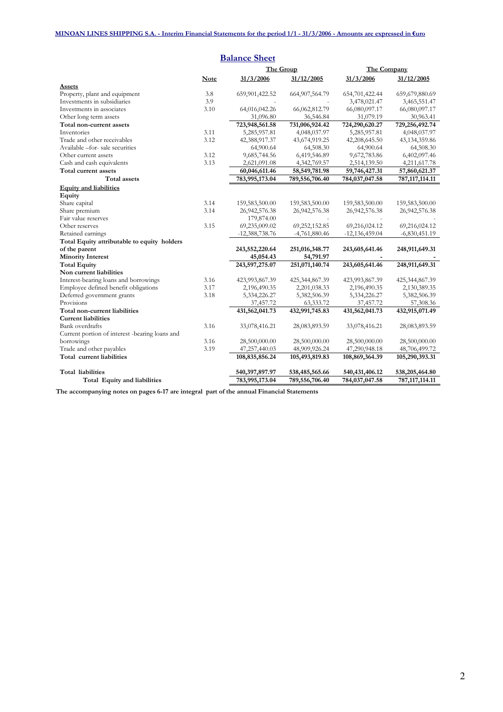|                                                |             | <b>Balance Sheet</b> |                   |                  |                   |
|------------------------------------------------|-------------|----------------------|-------------------|------------------|-------------------|
|                                                |             | The Group            |                   | The Company      |                   |
|                                                | <b>Note</b> | 31/3/2006            | 31/12/2005        | 31/3/2006        | 31/12/2005        |
| <b>Assets</b>                                  |             |                      |                   |                  |                   |
| Property, plant and equipment                  | 3.8         | 659,901,422.52       | 664, 907, 564. 79 | 654,701,422.44   | 659,679,880.69    |
| Investments in subsidiaries                    | 3.9         |                      |                   | 3,478,021.47     | 3,465,551.47      |
| Investments in associates                      | 3.10        | 64,016,042.26        | 66,062,812.79     | 66,080,097.17    | 66,080,097.17     |
| Other long term assets                         |             | 31,096.80            | 36,546.84         | 31,079.19        | 30,963.41         |
| Total non-current assets                       |             | 723,948,561.58       | 731,006,924.42    | 724,290,620.27   | 729,256,492.74    |
| Inventories                                    | 3.11        | 5,285,957.81         | 4,048,037.97      | 5,285,957.81     | 4,048,037.97      |
| Trade and other receivables                    | 3.12        | 42,388,917.37        | 43,674,919.25     | 42,208,645.50    | 43, 134, 359.86   |
| Available -for- sale securities                |             | 64,900.64            | 64,508.30         | 64,900.64        | 64,508.30         |
| Other current assets                           | 3.12        | 9,685,744.56         | 6,419,546.89      | 9,672,783.86     | 6,402,097.46      |
| Cash and cash equivalents                      | 3.13        | 2,621,091.08         | 4,342,769.57      | 2,514,139.50     | 4,211,617.78      |
| Total current assets                           |             | 60,046,611.46        | 58,549,781.98     | 59,746,427.31    | 57,860,621.37     |
| <b>Total</b> assets                            |             | 783,995,173.04       | 789,556,706.40    | 784,037,047.58   | 787, 117, 114. 11 |
| <b>Equity and liabilities</b>                  |             |                      |                   |                  |                   |
| Equity                                         |             |                      |                   |                  |                   |
| Share capital                                  | 3.14        | 159,583,500.00       | 159,583,500.00    | 159,583,500.00   | 159,583,500.00    |
| Share premium                                  | 3.14        | 26,942,576.38        | 26,942,576.38     | 26, 942, 576. 38 | 26, 942, 576. 38  |
| Fair value reserves                            |             | 179,874.00           |                   |                  |                   |
| Other reserves                                 | 3.15        | 69,235,009.02        | 69,252,152.85     | 69,216,024.12    | 69,216,024.12     |
| Retained earnings                              |             | $-12,388,738.76$     | -4,761,880.46     | $-12,136,459.04$ | $-6,830,451.19$   |
| Total Equity attributable to equity holders    |             |                      |                   |                  |                   |
| of the parent                                  |             | 243,552,220.64       | 251,016,348.77    | 243,605,641.46   | 248,911,649.31    |
| <b>Minority Interest</b>                       |             | 45,054.43            | 54,791.97         |                  |                   |
| <b>Total Equity</b>                            |             | 243,597,275.07       | 251,071,140.74    | 243,605,641.46   | 248,911,649.31    |
| Non current liabilities                        |             |                      |                   |                  |                   |
| Interest-bearing loans and borrowings          | 3.16        | 423,993,867.39       | 425,344,867.39    | 423,993,867.39   | 425,344,867.39    |
| Employee defined benefit obligations           | 3.17        | 2,196,490.35         | 2,201,038.33      | 2,196,490.35     | 2,130,389.35      |
| Deferred government grants                     | 3.18        | 5,334,226.27         | 5,382,506.39      | 5,334,226.27     | 5,382,506.39      |
| Provisions                                     |             | 37,457.72            | 63,333.72         | 37,457.72        | 57,308.36         |
| Total non-current liabilities                  |             | 431,562,041.73       | 432,991,745.83    | 431,562,041.73   | 432,915,071.49    |
| <b>Current liabilities</b>                     |             |                      |                   |                  |                   |
| <b>Bank</b> overdrafts                         | 3.16        | 33,078,416.21        | 28,083,893.59     | 33,078,416.21    | 28,083,893.59     |
| Current portion of interest -bearing loans and |             |                      |                   |                  |                   |
| borrowings                                     | 3.16        | 28,500,000.00        | 28,500,000.00     | 28,500,000.00    | 28,500,000.00     |
| Trade and other payables                       | 3.19        | 47,257,440.03        | 48,909,926.24     | 47,290,948.18    | 48,706,499.72     |
| Total current liabilities                      |             | 108,835,856.24       | 105,493,819.83    | 108,869,364.39   | 105,290,393.31    |
| <b>Total liabilities</b>                       |             | 540,397,897.97       | 538,485,565.66    | 540,431,406.12   | 538,205,464.80    |
| Total Equity and liabilities                   |             | 783,995,173.04       | 789,556,706.40    | 784,037,047.58   | 787, 117, 114. 11 |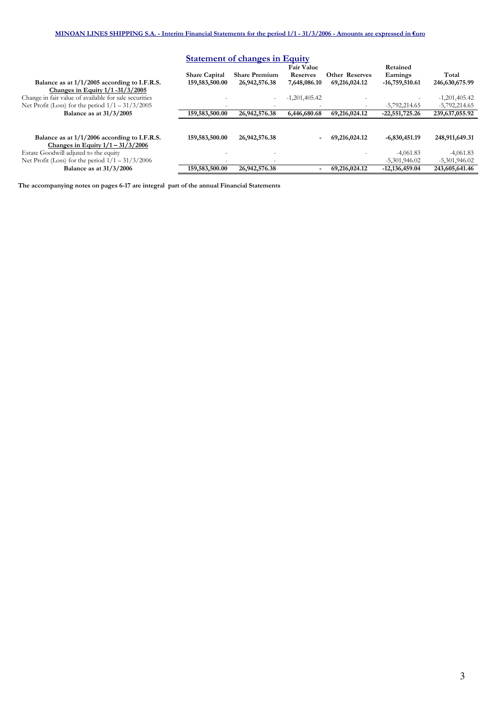| <b>Statement of changes in Equity</b>                                                                                                          |                                        |                                       |                                                      |                                        |                                          |                                    |  |
|------------------------------------------------------------------------------------------------------------------------------------------------|----------------------------------------|---------------------------------------|------------------------------------------------------|----------------------------------------|------------------------------------------|------------------------------------|--|
| Balance as at $1/1/2005$ according to I.F.R.S.                                                                                                 | <b>Share Capital</b><br>159,583,500.00 | <b>Share Premium</b><br>26,942,576.38 | <b>Fair Value</b><br><b>Reserves</b><br>7,648,086.10 | <b>Other Reserves</b><br>69,216,024.12 | Retained<br>Earnings<br>$-16,759,510.61$ | Total<br>246,630,675.99            |  |
| Changes in Equity 1/1-31/3/2005<br>Change in fair value of available for sale securities<br>Net Profit (Loss) for the period $1/1 - 31/3/2005$ |                                        | ٠                                     | $-1,201,405.42$                                      |                                        | $-5,792,214.65$                          | $-1,201,405.42$<br>$-5,792,214.65$ |  |
| Balance as at 31/3/2005                                                                                                                        | 159,583,500.00                         | 26,942,576.38                         | 6,446,680.68                                         | 69,216,024.12                          | $-22,551,725.26$                         | 239,637,055.92                     |  |
| Balance as at $1/1/2006$ according to I.F.R.S.                                                                                                 | 159,583,500.00                         | 26,942,576.38                         |                                                      | 69,216,024.12                          | $-6,830,451.19$                          | 248,911,649.31                     |  |
| Changes in Equity $1/1 - 31/3/2006$<br>Estate Goodwill adjuted to the equity<br>Net Profit (Loss) for the period $1/1 - 31/3/2006$             |                                        |                                       |                                                      |                                        | $-4,061.83$<br>$-5,301,946.02$           | $-4,061.83$<br>$-5,301,946.02$     |  |
| <b>Balance as at 31/3/2006</b>                                                                                                                 | 159,583,500.00                         | 26,942,576.38                         |                                                      | 69,216,024.12                          | $-12.136.459.04$                         | 243,605,641.46                     |  |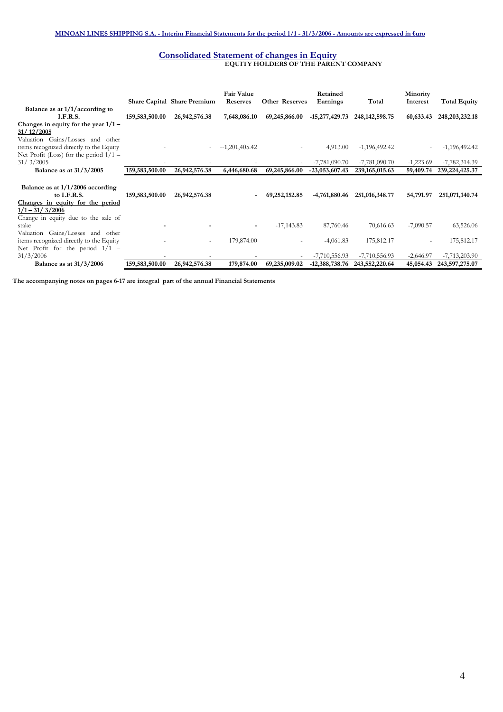#### Consolidated Statement of changes in Equity EQUITY HOLDERS OF THE PARENT COMPANY

|                                                                                                                         |                | <b>Share Capital Share Premium</b> | <b>Fair Value</b><br><b>Reserves</b> | <b>Other Reserves</b> | Retained<br>Earnings | Total             | Minority<br>Interest | <b>Total Equity</b> |
|-------------------------------------------------------------------------------------------------------------------------|----------------|------------------------------------|--------------------------------------|-----------------------|----------------------|-------------------|----------------------|---------------------|
| Balance as at $1/1/$ according to<br>I.F.R.S.                                                                           | 159,583,500.00 | 26,942,576.38                      | 7,648,086.10                         | 69,245,866.00         | $-15,277,429.73$     | 248, 142, 598. 75 | 60,633.43            | 248, 203, 232. 18   |
| Changes in equity for the year $1/1$ –<br>31/12/2005                                                                    |                |                                    |                                      |                       |                      |                   |                      |                     |
| Valuation Gains/Losses and other<br>items recognized directly to the Equity<br>Net Profit (Loss) for the period $1/1 -$ |                |                                    | $-1,201,405.42$                      |                       | 4,913.00             | $-1,196,492.42$   |                      | $-1,196,492.42$     |
| 31/3/2005                                                                                                               |                |                                    |                                      |                       | $-7,781,090.70$      | $-7,781,090.70$   | $-1,223.69$          | $-7,782,314.39$     |
| Balance as at $31/3/2005$                                                                                               | 159,583,500.00 | 26,942,576.38                      | 6,446,680.68                         | 69,245,866.00         | $-23,053,607.43$     | 239, 165, 015.63  | 59,409.74            | 239, 224, 425. 37   |
| Balance as at $1/1/2006$ according<br>to I.F.R.S.<br>Changes in equity for the period                                   | 159,583,500.00 | 26,942,576.38                      | $\overline{\phantom{a}}$             | 69,252,152.85         | -4,761,880.46        | 251,016,348.77    | 54,791.97            | 251,071,140.74      |
| $1/1 - 31/3/2006$<br>Change in equity due to the sale of<br>stake                                                       |                |                                    | $\overline{\phantom{a}}$             | $-17,143.83$          | 87,760.46            | 70,616.63         | $-7,090.57$          | 63,526.06           |
| Valuation Gains/Losses and other<br>items recognized directly to the Equity<br>Net Profit for the period $1/1$ -        |                | $\overline{\phantom{a}}$           | 179,874.00                           |                       | $-4,061.83$          | 175,812.17        |                      | 175,812.17          |
| 31/3/2006                                                                                                               |                |                                    |                                      |                       | $-7,710,556.93$      | $-7,710,556.93$   | $-2,646.97$          | $-7,713,203.90$     |
| Balance as at $31/3/2006$                                                                                               | 159,583,500.00 | 26,942,576.38                      | 179,874.00                           | 69,235,009.02         | $-12,388,738.76$     | 243,552,220.64    | 45,054.43            | 243,597,275.07      |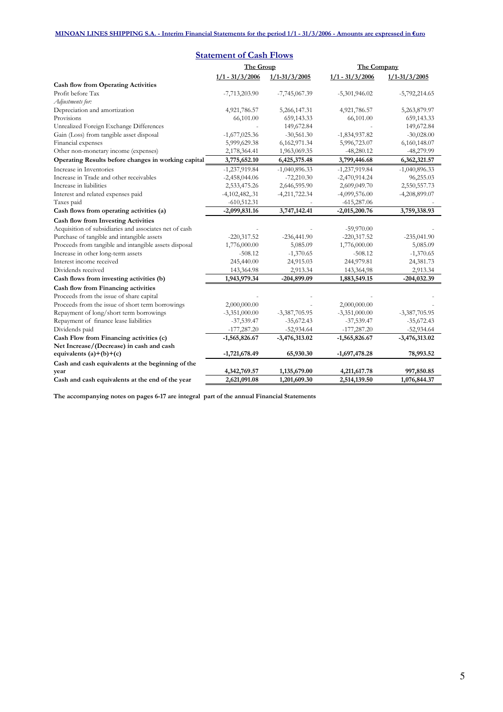| <b>Statement of Cash Flows</b>                         |                   |                   |                   |                   |  |  |  |
|--------------------------------------------------------|-------------------|-------------------|-------------------|-------------------|--|--|--|
|                                                        | The Group         |                   | The Company       |                   |  |  |  |
|                                                        | $1/1 - 31/3/2006$ | $1/1 - 31/3/2005$ | $1/1 - 31/3/2006$ | $1/1 - 31/3/2005$ |  |  |  |
| <b>Cash flow from Operating Activities</b>             |                   |                   |                   |                   |  |  |  |
| Profit before Tax                                      | $-7,713,203.90$   | $-7,745,067.39$   | $-5,301,946.02$   | $-5,792,214.65$   |  |  |  |
| Adjustments for:                                       |                   |                   |                   |                   |  |  |  |
| Depreciation and amortization                          | 4,921,786.57      | 5,266,147.31      | 4,921,786.57      | 5,263,879.97      |  |  |  |
| Provisions                                             | 66,101.00         | 659,143.33        | 66,101.00         | 659,143.33        |  |  |  |
| Unrealized Foreign Exchange Differences                |                   | 149,672.84        |                   | 149,672.84        |  |  |  |
| Gain (Loss) from tangible asset disposal               | $-1,677,025.36$   | $-30,561.30$      | $-1,834,937.82$   | $-30,028.00$      |  |  |  |
| Financial expenses                                     | 5,999,629.38      | 6,162,971.34      | 5,996,723.07      | 6,160,148.07      |  |  |  |
| Other non-monetary income (expenses)                   | 2,178,364.41      | 1,963,069.35      | $-48,280.12$      | $-48,279.99$      |  |  |  |
| Operating Results before changes in working capital    | 3,775,652.10      | 6,425,375.48      | 3,799,446.68      | 6,362,321.57      |  |  |  |
| Increase in Inventories                                | $-1,237,919.84$   | $-1,040,896.33$   | $-1,237,919.84$   | $-1,040,896.33$   |  |  |  |
| Increase in Trade and other receivables                | $-2,458,044.06$   | $-72,210.30$      | $-2,470,914.24$   | 96,255.03         |  |  |  |
| Increase in liabilities                                | 2,533,475.26      | 2,646,595.90      | 2,609,049.70      | 2,550,557.73      |  |  |  |
| Interest and related expenses paid                     | $-4,102,482,031$  | $-4,211,722.34$   | $-4,099,576.00$   | $-4,208,899.07$   |  |  |  |
| Taxes paid                                             | $-610,512.31$     |                   | $-615,287.06$     |                   |  |  |  |
| Cash flows from operating activities (a)               | $-2,099,831.16$   | 3,747,142.41      | $-2,015,200.76$   | 3,759,338.93      |  |  |  |
| <b>Cash flow from Investing Activities</b>             |                   |                   |                   |                   |  |  |  |
| Acquisition of subsidiaries and associates net of cash |                   |                   | $-59,970.00$      |                   |  |  |  |
| Purchase of tangible and intangible assets             | $-220,317.52$     | $-236,441.90$     | $-220,317.52$     | $-235,041.90$     |  |  |  |
| Proceeds from tangible and intangible assets disposal  | 1,776,000.00      | 5,085.09          | 1,776,000.00      | 5,085.09          |  |  |  |
| Increase in other long-term assets                     | $-508.12$         | $-1,370.65$       | $-508.12$         | $-1,370.65$       |  |  |  |
| Interest income received                               | 245,440.00        | 24,915.03         | 244,979.81        | 24,381.73         |  |  |  |
| Dividends received                                     | 143,364.98        | 2,913.34          | 143,364,98        | 2,913.34          |  |  |  |
| Cash flows from investing activities (b)               | 1,943,979.34      | -204,899.09       | 1,883,549.15      | $-204, 032.39$    |  |  |  |
| Cash flow from Financing activities                    |                   |                   |                   |                   |  |  |  |
| Proceeds from the issue of share capital               |                   |                   |                   |                   |  |  |  |
| Proceeds from the issue of short term borrowings       | 2,000,000.00      |                   | 2,000,000.00      |                   |  |  |  |
| Repayment of long/short term borrowings                | $-3,351,000.00$   | $-3,387,705.95$   | $-3,351,000.00$   | $-3,387,705.95$   |  |  |  |
| Repayment of finance lease liabilities                 | $-37,539.47$      | $-35,672.43$      | $-37,539.47$      | $-35,672.43$      |  |  |  |
| Dividends paid                                         | $-177,287.20$     | $-52,934.64$      | $-177,287.20$     | $-52,934.64$      |  |  |  |
| Cash Flow from Financing activities (c)                | $-1,565,826.67$   | $-3,476,313.02$   | $-1,565,826.67$   | $-3,476,313.02$   |  |  |  |
| Net Increase/(Decrease) in cash and cash               |                   |                   |                   |                   |  |  |  |
| equivalents $(a)+(b)+(c)$                              | $-1,721,678.49$   | 65,930.30         | $-1,697,478.28$   | 78,993.52         |  |  |  |
| Cash and cash equivalents at the beginning of the      |                   |                   |                   |                   |  |  |  |
| year                                                   | 4,342,769.57      | 1,135,679.00      | 4,211,617.78      | 997,850.85        |  |  |  |
| Cash and cash equivalents at the end of the year       | 2,621,091.08      | 1,201,609.30      | 2,514,139.50      | 1,076,844.37      |  |  |  |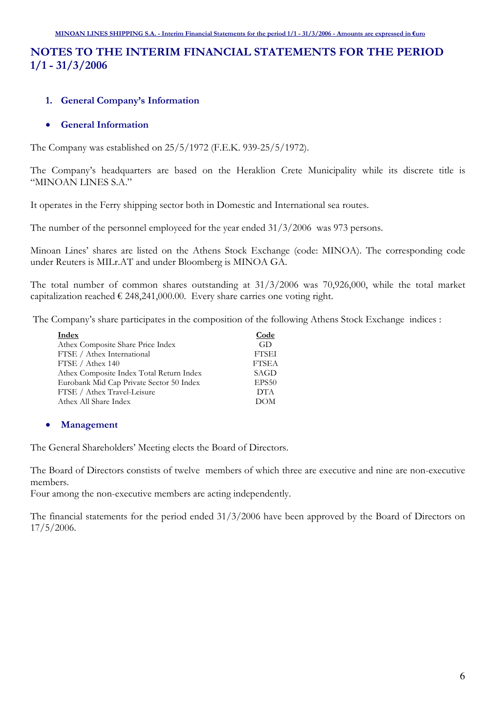## NOTES TO THE INTERIM FINANCIAL STATEMENTS FOR THE PERIOD 1/1 - 31/3/2006

## 1. General Company's Information

## • General Information

The Company was established on 25/5/1972 (F.E.K. 939-25/5/1972).

The Company's headquarters are based on the Heraklion Crete Municipality while its discrete title is "MINOAN LINES S.A."

It operates in the Ferry shipping sector both in Domestic and International sea routes.

The number of the personnel employeed for the year ended 31/3/2006 was 973 persons.

Minoan Lines' shares are listed on the Athens Stock Exchange (code: MINOA). The corresponding code under Reuters is MILr.AT and under Bloomberg is MINOA GA.

The total number of common shares outstanding at 31/3/2006 was 70,926,000, while the total market capitalization reached  $\epsilon$  248,241,000.00. Every share carries one voting right.

The Company's share participates in the composition of the following Athens Stock Exchange indices :

| Code         |
|--------------|
| GD           |
| <b>FTSEI</b> |
| <b>FTSEA</b> |
| SAGD         |
| EPS50        |
| <b>DTA</b>   |
| DOM          |
|              |

## • Management

The General Shareholders' Meeting elects the Board of Directors.

The Board of Directors constists of twelve members of which three are executive and nine are non-executive members.

Four among the non-executive members are acting independently.

The financial statements for the period ended 31/3/2006 have been approved by the Board of Directors on 17/5/2006.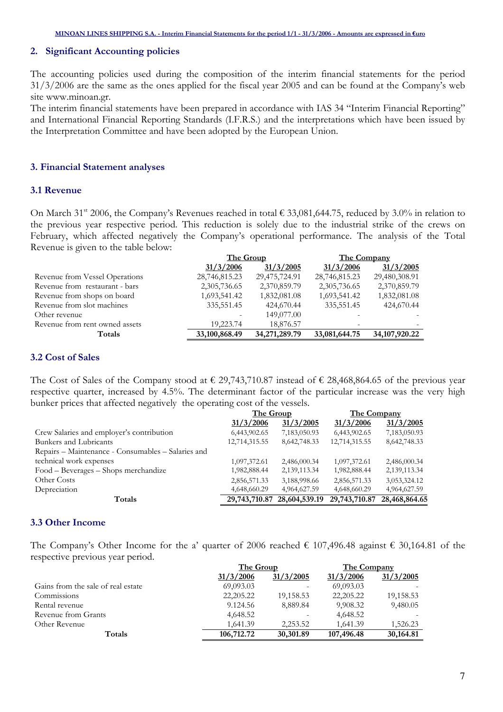## 2. Significant Accounting policies

The accounting policies used during the composition of the interim financial statements for the period 31/3/2006 are the same as the ones applied for the fiscal year 2005 and can be found at the Company's web site www.minoan.gr.

The interim financial statements have been prepared in accordance with IAS 34 "Interim Financial Reporting" and International Financial Reporting Standards (I.F.R.S.) and the interpretations which have been issued by the Interpretation Committee and have been adopted by the European Union.

#### 3. Financial Statement analyses

#### 3.1 Revenue

On March 31<sup>st</sup> 2006, the Company's Revenues reached in total  $\epsilon$  33,081,644.75, reduced by 3.0% in relation to the previous year respective period. This reduction is solely due to the industrial strike of the crews on February, which affected negatively the Company's operational performance. The analysis of the Total Revenue is given to the table below:

|                                | The Group     |               | The Company   |                  |
|--------------------------------|---------------|---------------|---------------|------------------|
|                                | 31/3/2006     | 31/3/2005     | 31/3/2006     | 31/3/2005        |
| Revenue from Vessel Operations | 28,746,815.23 | 29,475,724.91 | 28,746,815.23 | 29,480,308.91    |
| Revenue from restaurant - bars | 2,305,736.65  | 2,370,859.79  | 2,305,736.65  | 2,370,859.79     |
| Revenue from shops on board    | 1,693,541.42  | 1,832,081.08  | 1,693,541.42  | 1,832,081.08     |
| Revenue from slot machines     | 335,551.45    | 424,670.44    | 335,551.45    | 424,670.44       |
| Other revenue                  |               | 149,077.00    |               |                  |
| Revenue from rent owned assets | 19,223.74     | 18,876.57     |               |                  |
| Totals                         | 33,100,868.49 | 34,271,289.79 | 33,081,644.75 | 34, 107, 920, 22 |

## 3.2 Cost of Sales

The Cost of Sales of the Company stood at  $\epsilon$  29,743,710.87 instead of  $\epsilon$  28,468,864.65 of the previous year respective quarter, increased by 4.5%. The determinant factor of the particular increase was the very high bunker prices that affected negatively the operating cost of the vessels.

|                                                    | The Group     |               | The Company   |               |  |
|----------------------------------------------------|---------------|---------------|---------------|---------------|--|
|                                                    | 31/3/2006     | 31/3/2005     | 31/3/2006     | 31/3/2005     |  |
| Crew Salaries and employer's contribution          | 6,443,902.65  | 7,183,050.93  | 6,443,902.65  | 7,183,050.93  |  |
| Bunkers and Lubricants                             | 12,714,315.55 | 8,642,748.33  | 12,714,315.55 | 8,642,748.33  |  |
| Repairs – Maintenance - Consumables – Salaries and |               |               |               |               |  |
| technical work expenses                            | 1,097,372.61  | 2,486,000.34  | 1,097,372.61  | 2,486,000.34  |  |
| Food – Beverages – Shops merchandize               | 1,982,888.44  | 2,139,113.34  | 1,982,888.44  | 2,139,113.34  |  |
| Other Costs                                        | 2,856,571.33  | 3,188,998.66  | 2,856,571.33  | 3,053,324.12  |  |
| Depreciation                                       | 4,648,660.29  | 4,964,627.59  | 4,648,660.29  | 4,964,627.59  |  |
| Totals                                             | 29,743,710.87 | 28,604,539.19 | 29,743,710.87 | 28,468,864.65 |  |

#### 3.3 Other Income

The Company's Other Income for the a' quarter of 2006 reached  $\epsilon$  107,496.48 against  $\epsilon$  30,164.81 of the respective previous year period.

|                                    | The Group  |           | The Company |           |
|------------------------------------|------------|-----------|-------------|-----------|
|                                    | 31/3/2006  | 31/3/2005 | 31/3/2006   | 31/3/2005 |
| Gains from the sale of real estate | 69,093.03  |           | 69,093.03   |           |
| Commissions                        | 22,205.22  | 19,158.53 | 22, 205. 22 | 19,158.53 |
| Rental revenue                     | 9.124.56   | 8,889.84  | 9,908.32    | 9,480.05  |
| Revenue from Grants                | 4,648.52   |           | 4,648.52    |           |
| Other Revenue                      | 1.641.39   | 2,253.52  | 1,641.39    | 1,526.23  |
| Totals                             | 106,712.72 | 30,301.89 | 107,496.48  | 30,164.81 |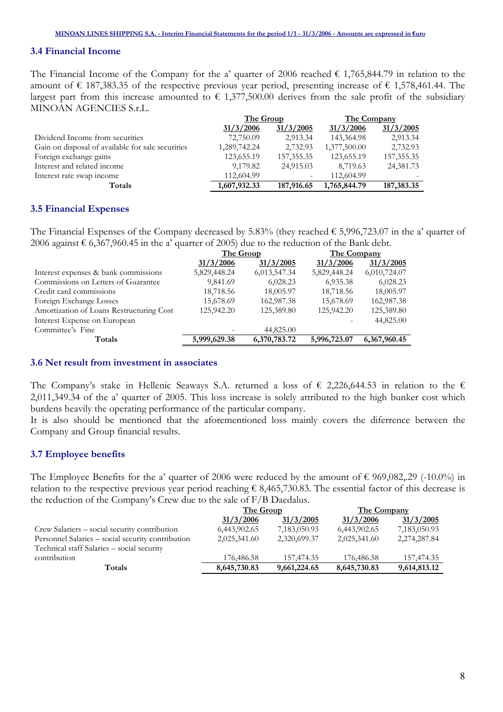## 3.4 Financial Income

The Financial Income of the Company for the a' quarter of 2006 reached  $\epsilon$  1,765,844.79 in relation to the amount of € 187,383.35 of the respective previous year period, presenting increase of € 1,578,461.44. The largest part from this increase amounted to  $\epsilon$  1,377,500.00 derives from the sale profit of the subsidiary MINOAN AGENCIES S.r.L.

|                                                   | The Group    |              | The Company  |              |
|---------------------------------------------------|--------------|--------------|--------------|--------------|
|                                                   | 31/3/2006    | 31/3/2005    | 31/3/2006    | 31/3/2005    |
| Dividend Income from securities                   | 72,750.09    | 2,913.34     | 143,364.98   | 2,913.34     |
| Gain on disposal of available for sale securities | 1,289,742.24 | 2,732.93     | 1,377,500.00 | 2,732.93     |
| Foreign exchange gains                            | 123,655.19   | 157, 355. 35 | 123,655.19   | 157, 355. 35 |
| Interest and related income                       | 9,179.82     | 24,915.03    | 8,719.63     | 24,381.73    |
| Interest rate swap income                         | 112,604.99   |              | 112,604.99   |              |
| Totals                                            | 1,607,932.33 | 187,916.65   | 1,765,844.79 | 187,383.35   |

#### 3.5 Financial Expenses

The Financial Expenses of the Company decreased by 5.83% (they reached  $\epsilon$  5,996,723.07 in the a' quarter of 2006 against  $\epsilon$  6,367,960.45 in the a' quarter of 2005) due to the reduction of the Bank debt.

|                                          | The Group    |              | The Company  |              |
|------------------------------------------|--------------|--------------|--------------|--------------|
|                                          | 31/3/2006    | 31/3/2005    | 31/3/2006    | 31/3/2005    |
| Interest expenses & bank commissions     | 5,829,448.24 | 6,013,547.34 | 5,829,448.24 | 6,010,724.07 |
| Commissions on Letters of Guarantee      | 9,841.69     | 6,028.23     | 6,935.38     | 6,028.23     |
| Credit card commissions                  | 18,718.56    | 18,005.97    | 18,718.56    | 18,005.97    |
| Foreign Exchange Losses                  | 15,678.69    | 162,987.38   | 15,678.69    | 162,987.38   |
| Amortization of Loans Restructuring Cost | 125,942.20   | 125,389.80   | 125,942.20   | 125,389.80   |
| Interest Expense on European             |              |              |              | 44,825.00    |
| Committee's Fine                         |              | 44,825.00    |              |              |
| Totals                                   | 5,999,629.38 | 6,370,783.72 | 5,996,723.07 | 6,367,960.45 |

#### 3.6 Net result from investment in associates

The Company's stake in Hellenic Seaways S.A. returned a loss of  $\epsilon$  2,226,644.53 in relation to the  $\epsilon$ 2,011,349.34 of the a' quarter of 2005. This loss increase is solely attributed to the high bunker cost which burdens heavily the operating performance of the particular company.

It is also should be mentioned that the aforementioned loss mainly covers the diferrence between the Company and Group financial results.

## 3.7 Employee benefits

The Employee Benefits for the a' quarter of 2006 were reduced by the amount of  $\epsilon$  969,082,.29 (-10.0%) in relation to the respective previous year period reaching  $\epsilon$  8,465,730.83. The essential factor of this decrease is the reduction of the Company's Crew due to the sale of F/B Daedalus.

|                                                   | The Group    |              | <b>The Company</b> |              |
|---------------------------------------------------|--------------|--------------|--------------------|--------------|
|                                                   | 31/3/2006    | 31/3/2005    | 31/3/2006          | 31/3/2005    |
| Crew Salariers - social security contribution     | 6,443,902.65 | 7,183,050.93 | 6,443,902.65       | 7,183,050.93 |
| Personnel Salaries - social security contribution | 2,025,341.60 | 2,320,699.37 | 2,025,341.60       | 2,274,287.84 |
| Technical staff Salaries - social security        |              |              |                    |              |
| contribution                                      | 176,486.58   | 157,474.35   | 176,486.58         | 157,474.35   |
| Totals                                            | 8,645,730.83 | 9,661,224.65 | 8,645,730.83       | 9,614,813.12 |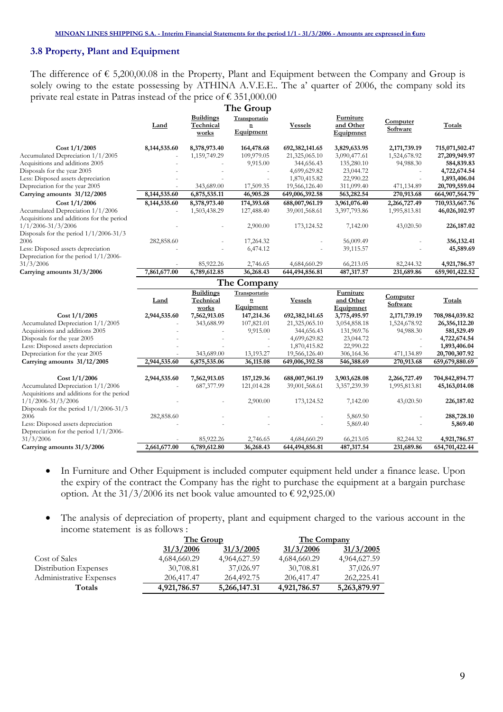## 3.8 Property, Plant and Equipment

The difference of  $\epsilon$  5,200,00.08 in the Property, Plant and Equipment between the Company and Group is solely owing to the estate possessing by ATHINA A.V.E.E.. The a' quarter of 2006, the company sold its private real estate in Patras instead of the price of  $\epsilon$  351,000.00

|                                           |              |                                        | The Group                                             |                                |                                     |                         |                                |
|-------------------------------------------|--------------|----------------------------------------|-------------------------------------------------------|--------------------------------|-------------------------------------|-------------------------|--------------------------------|
|                                           | Land         | <b>Buildings</b><br>Technical<br>works | Transportatio<br>$\overline{\mathbf{n}}$<br>Equipment | <b>Vessels</b>                 | Furniture<br>and Other<br>Equipmnet | Computer<br>Software    | Totals                         |
| Cost 1/1/2005                             | 8,144,535.60 | 8,378,973.40                           | 164,478.68                                            | 692,382,141.65                 | 3,829,633.95                        | 2,171,739.19            | 715,071,502.47                 |
| Accumulated Depreciation 1/1/2005         |              | 1,159,749.29                           | 109,979.05                                            | 21,325,065.10                  | 3,090,477.61                        | 1,524,678.92            | 27,209,949.97                  |
| Acquisitions and additions 2005           |              |                                        | 9,915.00                                              | 344,656.43                     | 135,280.10                          | 94,988.30               | 584,839.83                     |
| Disposals for the year 2005               |              |                                        | $\sim$                                                | 4,699,629.82                   | 23,044.72                           | $\sim$                  | 4,722,674.54                   |
| Less: Disposed assets depreciation        |              |                                        |                                                       | 1,870,415.82                   | 22,990.22                           |                         | 1,893,406.04                   |
| Depreciation for the year 2005            |              | 343,689.00                             | 17,509.35                                             | 19,566,126.40                  | 311,099.40                          | 471,134.89              | 20,709,559.04                  |
| Carrying amounts 31/12/2005               | 8,144,535.60 | 6,875,535.11                           | 46,905.28                                             | 649,006,392.58                 | 563,282.54                          | 270,913.68              | 664,907,564.79                 |
| Cost 1/1/2006                             | 8,144,535.60 | 8,378,973.40                           | 174,393.68                                            | 688,007,961.19                 | 3,961,076.40                        | 2,266,727.49            | 710,933,667.76                 |
| Accumulated Depreciation 1/1/2006         |              | 1,503,438.29                           | 127,488.40                                            | 39,001,568.61                  | 3,397,793.86                        | 1,995,813.81            | 46,026,102.97                  |
| Acquisitions and additions for the period |              |                                        |                                                       |                                |                                     |                         |                                |
| $1/1/2006 - 31/3/2006$                    |              |                                        | 2,900.00                                              | 173,124.52                     | 7,142.00                            | 43,020.50               | 226,187.02                     |
| Disposals for the period $1/1/2006-31/3$  |              |                                        |                                                       |                                |                                     |                         |                                |
| 2006                                      | 282,858.60   |                                        | 17,264.32                                             |                                | 56,009.49                           |                         | 356,132.41                     |
| Less: Disposed assets depreciation        |              |                                        | 6,474.12                                              |                                | 39,115.57                           |                         | 45,589.69                      |
| Depreciation for the period $1/1/2006$ -  |              |                                        |                                                       |                                |                                     |                         |                                |
| 31/3/2006                                 |              | 85,922.26                              | 2,746.65                                              | 4,684,660.29                   | 66,213.05                           | 82,244.32               | 4,921,786.57                   |
| Carrying amounts 31/3/2006                | 7,861,677.00 | 6,789,612.85                           | 36,268.43                                             | 644,494,856.81                 | 487,317.57                          | 231,689.86              | 659,901,422.52                 |
|                                           |              |                                        | The Company                                           |                                |                                     |                         |                                |
|                                           |              | <b>Buildings</b>                       | Transportatio                                         |                                | Furniture                           |                         |                                |
|                                           | Land         | Technical                              | $\mathbf{n}$                                          | <b>Vessels</b>                 | and Other                           | Computer                | Totals                         |
|                                           |              | works                                  | Equipment                                             |                                | Equipmnet                           | Software                |                                |
| Cost 1/1/2005                             | 2,944,535.60 | 7,562,913.05                           | 147,214.36                                            | 692,382,141.65                 | 3,775,495.97                        | 2,171,739.19            | 708,984,039.82                 |
| Accumulated Depreciation 1/1/2005         |              | 343,688.99                             | 107,821.01                                            | 21,325,065.10                  | 3,054,858.18                        | 1,524,678.92            |                                |
| Acquisitions and additions 2005           |              |                                        |                                                       |                                |                                     |                         | 26,356,112.20                  |
| Disposals for the year 2005               |              |                                        | 9,915.00                                              | 344,656.43                     | 131,969.76                          | 94,988.30               | 581,529.49                     |
|                                           |              |                                        |                                                       | 4,699,629.82                   | 23,044.72                           | ä,                      | 4,722,674.54                   |
| Less: Disposed assets depreciation        |              |                                        |                                                       | 1,870,415.82                   | 22,990.22                           |                         | 1,893,406.04                   |
| Depreciation for the year 2005            |              | 343,689.00                             | 13,193.27                                             | 19,566,126.40                  | 306,164.36                          | 471,134.89              | 20,700,307.92                  |
| Carrying amounts 31/12/2005               | 2,944,535.60 | 6,875,535.06                           | 36,115.08                                             | 649,006,392.58                 | 546,388.69                          | 270,913.68              | 659,679,880.69                 |
|                                           |              |                                        |                                                       |                                |                                     |                         |                                |
| $Cost\ 1/1/2006$                          | 2,944,535.60 | 7,562,913.05                           | 157,129.36                                            | 688,007,961.19                 | 3,903,628.08                        | 2,266,727.49            | 704,842,894.77                 |
| Accumulated Depreciation 1/1/2006         |              | 687,377.99                             | 121,014.28                                            | 39,001,568.61                  | 3,357,239.39                        | 1,995,813.81            | 45, 163, 014. 08               |
| Acquisitions and additions for the period |              |                                        |                                                       |                                |                                     |                         |                                |
| $1/1/2006 - 31/3/2006$                    |              |                                        | 2,900.00                                              | 173, 124.52                    | 7,142.00                            | 43,020.50               | 226,187.02                     |
| Disposals for the period $1/1/2006-31/3$  |              |                                        |                                                       |                                |                                     |                         |                                |
| 2006                                      | 282,858.60   |                                        |                                                       |                                | 5,869.50                            |                         | 288,728.10                     |
| Less: Disposed assets depreciation        |              |                                        |                                                       |                                | 5,869.40                            |                         | 5,869.40                       |
| Depreciation for the period 1/1/2006-     |              |                                        |                                                       |                                |                                     |                         |                                |
| 31/3/2006<br>Carrying amounts 31/3/2006   | 2,661,677.00 | 85,922.26<br>6,789,612.80              | 2,746.65<br>36,268.43                                 | 4,684,660.29<br>644,494,856.81 | 66,213.05<br>487,317.54             | 82,244.32<br>231,689.86 | 4,921,786.57<br>654,701,422.44 |

- In Furniture and Other Equipment is included computer equipment held under a finance lease. Upon the expiry of the contract the Company has the right to purchase the equipment at a bargain purchase option. At the 31/3/2006 its net book value amounted to  $\epsilon$  92,925.00
- The analysis of depreciation of property, plant and equipment charged to the various account in the income statement is as follows :

|                         | The Group    |              | <b>The Company</b> |              |
|-------------------------|--------------|--------------|--------------------|--------------|
|                         | 31/3/2006    | 31/3/2005    | 31/3/2006          | 31/3/2005    |
| Cost of Sales           | 4,684,660.29 | 4,964,627.59 | 4,684,660.29       | 4,964,627.59 |
| Distribution Expenses   | 30,708.81    | 37,026.97    | 30,708.81          | 37,026.97    |
| Administrative Expenses | 206,417.47   | 264,492.75   | 206,417.47         | 262,225.41   |
| Totals                  | 4,921,786.57 | 5,266,147.31 | 4,921,786.57       | 5,263,879.97 |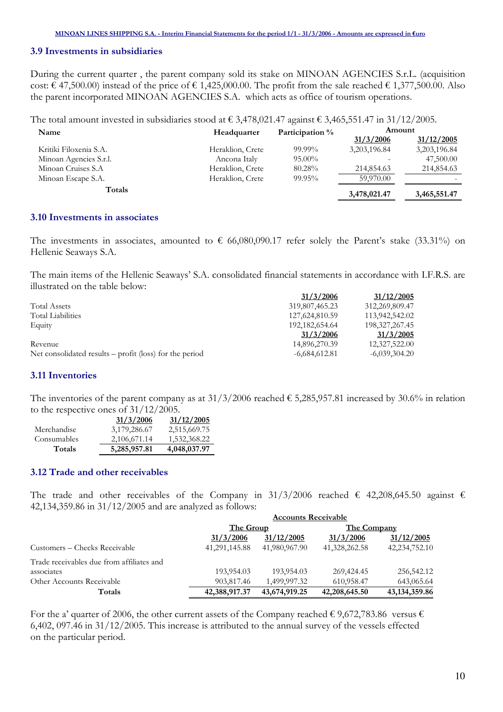## 3.9 Investments in subsidiaries

During the current quarter , the parent company sold its stake on MINOAN AGENCIES S.r.L. (acquisition cost:  $\epsilon$  47,500.00) instead of the price of  $\epsilon$  1,425,000.00. The profit from the sale reached  $\epsilon$  1,377,500.00. Also the parent incorporated MINOAN AGENCIES S.A. which acts as office of tourism operations.

The total amount invested in subsidiaries stood at € 3,478,021.47 against € 3,465,551.47 in 31/12/2005.

| Name                   | Headquarter      | Participation % | Amount       |              |
|------------------------|------------------|-----------------|--------------|--------------|
|                        |                  |                 | 31/3/2006    | 31/12/2005   |
| Kritiki Filoxenia S.A. | Heraklion, Crete | $99.99\%$       | 3,203,196.84 | 3,203,196.84 |
| Minoan Agencies S.r.l. | Ancona Italy     | $95.00\%$       |              | 47,500.00    |
| Minoan Cruises S.A     | Heraklion, Crete | 80.28%          | 214,854.63   | 214,854.63   |
| Minoan Escape S.A.     | Heraklion, Crete | 99.95%          | 59,970.00    | -            |
| Totals                 |                  |                 | 3,478,021.47 | 3,465,551.47 |

## 3.10 Investments in associates

The investments in associates, amounted to  $\epsilon$  66,080,090.17 refer solely the Parent's stake (33.31%) on Hellenic Seaways S.A.

The main items of the Hellenic Seaways' S.A. consolidated financial statements in accordance with I.F.R.S. are illustrated on the table below:

|                                                           | 31/3/2006         | 31/12/2005        |
|-----------------------------------------------------------|-------------------|-------------------|
| <b>Total Assets</b>                                       | 319,807,465.23    | 312,269,809.47    |
| <b>Total Liabilities</b>                                  | 127,624,810.59    | 113,942,542.02    |
| Equity                                                    | 192, 182, 654. 64 | 198, 327, 267. 45 |
|                                                           | 31/3/2006         | 31/3/2005         |
| Revenue                                                   | 14,896,270.39     | 12,327,522.00     |
| Net consolidated results $-$ profit (loss) for the period | $-6,684,612.81$   | $-6,039,304.20$   |

#### 3.11 Inventories

The inventories of the parent company as at  $31/3/2006$  reached  $\epsilon$  5,285,957.81 increased by 30.6% in relation to the respective ones of 31/12/2005.

|             | 31/3/2006    | 31/12/2005   |
|-------------|--------------|--------------|
| Merchandise | 3,179,286.67 | 2,515,669.75 |
| Consumables | 2,106,671.14 | 1,532,368.22 |
| Totals      | 5,285,957.81 | 4,048,037.97 |

#### 3.12 Trade and other receivables

The trade and other receivables of the Company in 31/3/2006 reached  $\epsilon$  42,208,645.50 against  $\epsilon$ 42,134,359.86 in 31/12/2005 and are analyzed as follows:

|                                           | <b>Accounts Receivable</b> |               |               |                 |  |
|-------------------------------------------|----------------------------|---------------|---------------|-----------------|--|
|                                           | The Group                  |               | The Company   |                 |  |
|                                           | 31/3/2006                  | 31/12/2005    | 31/3/2006     | 31/12/2005      |  |
| Customers – Checks Receivable             | 41,291,145.88              | 41,980,967.90 | 41,328,262.58 | 42,234,752.10   |  |
| Trade receivables due from affiliates and |                            |               |               |                 |  |
| associates                                | 193,954.03                 | 193,954.03    | 269,424.45    | 256,542.12      |  |
| Other Accounts Receivable                 | 903,817.46                 | 1,499,997.32  | 610,958.47    | 643,065.64      |  |
| Totals                                    | 42,388,917.37              | 43,674,919.25 | 42,208,645.50 | 43, 134, 359.86 |  |

For the a' quarter of 2006, the other current assets of the Company reached  $\epsilon$  9,672,783.86 versus  $\epsilon$ 6,402, 097.46 in 31/12/2005. This increase is attributed to the annual survey of the vessels effected on the particular period.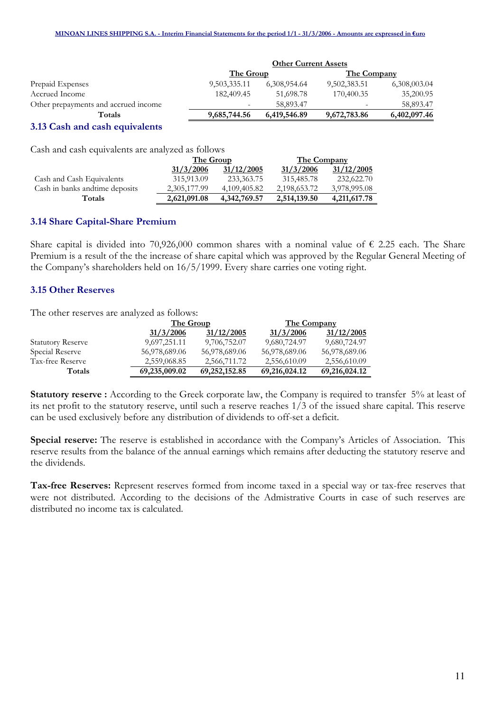|                                      | <b>Other Current Assets</b> |              |                    |              |
|--------------------------------------|-----------------------------|--------------|--------------------|--------------|
|                                      | The Group                   |              | <b>The Company</b> |              |
| Prepaid Expenses                     | 9,503,335.11                | 6,308,954.64 | 9,502,383.51       | 6,308,003.04 |
| Accrued Income                       | 182,409.45                  | 51,698.78    | 170,400.35         | 35,200.95    |
| Other prepayments and accrued income | $\overline{\phantom{a}}$    | 58,893.47    |                    | 58,893.47    |
| Totals                               | 9,685,744.56                | 6,419,546.89 | 9,672,783.86       | 6,402,097.46 |
| $\sim$ $\sim$ $\sim$                 |                             |              |                    |              |

#### 3.13 Cash and cash equivalents

Cash and cash equivalents are analyzed as follows

|                                 | The Group    |              | The Company  |              |
|---------------------------------|--------------|--------------|--------------|--------------|
|                                 | 31/3/2006    | 31/12/2005   | 31/3/2006    | 31/12/2005   |
| Cash and Cash Equivalents       | 315,913.09   | 233,363.75   | 315,485.78   | 232,622.70   |
| Cash in banks and time deposits | 2,305,177.99 | 4.109.405.82 | 2,198,653.72 | 3,978,995.08 |
| Totals                          | 2,621,091.08 | 4,342,769.57 | 2,514,139.50 | 4,211,617.78 |

#### 3.14 Share Capital-Share Premium

Share capital is divided into 70,926,000 common shares with a nominal value of  $\epsilon$  2.25 each. The Share Premium is a result of the the increase of share capital which was approved by the Regular General Meeting of the Company's shareholders held on 16/5/1999. Every share carries one voting right.

#### 3.15 Other Reserves

The other reserves are analyzed as follows:

|                          |               | The Group     |               | The Company   |
|--------------------------|---------------|---------------|---------------|---------------|
|                          | 31/3/2006     | 31/12/2005    | 31/3/2006     | 31/12/2005    |
| <b>Statutory Reserve</b> | 9,697,251.11  | 9,706,752.07  | 9,680,724.97  | 9,680,724.97  |
| Special Reserve          | 56,978,689.06 | 56,978,689.06 | 56,978,689.06 | 56,978,689.06 |
| Tax-free Reserve         | 2,559,068.85  | 2,566,711.72  | 2,556,610.09  | 2,556,610.09  |
| Totals                   | 69,235,009.02 | 69,252,152.85 | 69,216,024.12 | 69,216,024.12 |

Statutory reserve : According to the Greek corporate law, the Company is required to transfer 5% at least of its net profit to the statutory reserve, until such a reserve reaches 1/3 of the issued share capital. This reserve can be used exclusively before any distribution of dividends to off-set a deficit.

Special reserve: The reserve is established in accordance with the Company's Articles of Association. This reserve results from the balance of the annual earnings which remains after deducting the statutory reserve and the dividends.

Tax-free Reserves: Represent reserves formed from income taxed in a special way or tax-free reserves that were not distributed. According to the decisions of the Admistrative Courts in case of such reserves are distributed no income tax is calculated.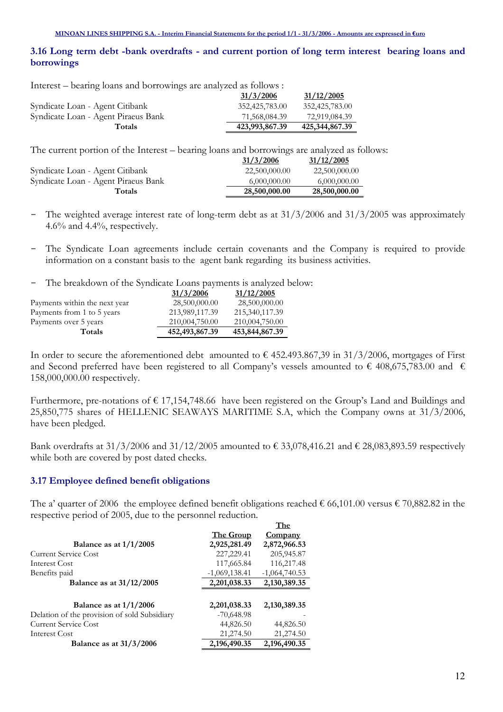## 3.16 Long term debt -bank overdrafts - and current portion of long term interest bearing loans and borrowings

Interest – bearing loans and borrowings are analyzed as follows :

|                                     | 31/3/2006      | 31/12/2005     |
|-------------------------------------|----------------|----------------|
| Syndicate Loan - Agent Citibank     | 352,425,783.00 | 352,425,783.00 |
| Syndicate Loan - Agent Piraeus Bank | 71,568,084.39  | 72,919,084.39  |
| <b>Totals</b>                       | 423,993,867.39 | 425,344,867.39 |

The current portion of the Interest – bearing loans and borrowings are analyzed as follows:

|                                     | 31/3/2006     | 31/12/2005    |
|-------------------------------------|---------------|---------------|
| Syndicate Loan - Agent Citibank     | 22,500,000.00 | 22,500,000.00 |
| Syndicate Loan - Agent Piraeus Bank | 6,000,000.00  | 6,000,000.00  |
| <b>Totals</b>                       | 28,500,000.00 | 28,500,000.00 |

- The weighted average interest rate of long-term debt as at  $31/3/2006$  and  $31/3/2005$  was approximately 4.6% and 4.4%, respectively.
- The Syndicate Loan agreements include certain covenants and the Company is required to provide information on a constant basis to the agent bank regarding its business activities.
- The breakdown of the Syndicate Loans payments is analyzed below:

|                               | 31/3/2006         | 31/12/2005     |
|-------------------------------|-------------------|----------------|
| Payments within the next year | 28,500,000.00     | 28,500,000.00  |
| Payments from 1 to 5 years    | 213,989,117.39    | 215,340,117.39 |
| Payments over 5 years         | 210,004,750.00    | 210,004,750.00 |
| Totals                        | 452, 493, 867. 39 | 453,844,867.39 |

In order to secure the aforementioned debt amounted to  $\epsilon$  452.493.867,39 in 31/3/2006, mortgages of First and Second preferred have been registered to all Company's vessels amounted to  $\epsilon$  408,675,783.00 and  $\epsilon$ 158,000,000.00 respectively.

Furthermore, pre-notations of  $\epsilon$  17,154,748.66 have been registered on the Group's Land and Buildings and 25,850,775 shares of HELLENIC SEAWAYS MARITIME S.A, which the Company owns at 31/3/2006, have been pledged.

Bank overdrafts at 31/3/2006 and 31/12/2005 amounted to  $\epsilon$  33,078,416.21 and  $\epsilon$  28,083,893.59 respectively while both are covered by post dated checks.

## 3.17 Employee defined benefit obligations

The a' quarter of 2006 the employee defined benefit obligations reached  $\epsilon$  66,101.00 versus  $\epsilon$  70,882.82 in the respective period of 2005, due to the personnel reduction.

|                                              |                  | The             |
|----------------------------------------------|------------------|-----------------|
|                                              | <b>The Group</b> | Company         |
| Balance as at $1/1/2005$                     | 2,925,281.49     | 2,872,966.53    |
| Current Service Cost                         | 227, 229. 41     | 205,945.87      |
| Interest Cost                                | 117,665.84       | 116,217.48      |
| Benefits paid                                | $-1,069,138.41$  | $-1,064,740.53$ |
| <b>Balance as at 31/12/2005</b>              | 2,201,038.33     | 2,130,389.35    |
|                                              |                  |                 |
| Balance as at $1/1/2006$                     | 2,201,038.33     | 2,130,389.35    |
| Delation of the provision of sold Subsidiary | $-70,648.98$     |                 |
| <b>Current Service Cost</b>                  | 44,826.50        | 44,826.50       |
| Interest Cost                                | 21,274.50        | 21,274.50       |
| Balance as at $31/3/2006$                    | 2,196,490.35     | 2,196,490.35    |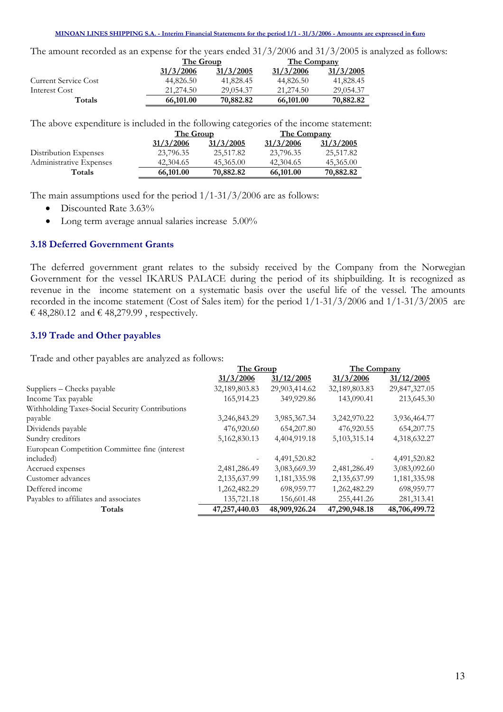MINOAN LINES SHIPPING S.A. - Interim Financial Statements for the period 1/1 - 31/3/2006 - Amounts are expressed in *Curo* 

The amount recorded as an expense for the years ended 31/3/2006 and 31/3/2005 is analyzed as follows:

|                      |           | The Group |           | The Company |
|----------------------|-----------|-----------|-----------|-------------|
|                      | 31/3/2006 | 31/3/2005 | 31/3/2006 | 31/3/2005   |
| Current Service Cost | 44,826.50 | 41,828.45 | 44,826.50 | 41,828.45   |
| Interest Cost        | 21.274.50 | 29,054.37 | 21.274.50 | 29,054.37   |
| Totals               | 66,101.00 | 70,882.82 | 66,101.00 | 70,882.82   |

The above expenditure is included in the following categories of the income statement:

|                         | The Group |           | The Company |           |
|-------------------------|-----------|-----------|-------------|-----------|
|                         | 31/3/2006 | 31/3/2005 | 31/3/2006   | 31/3/2005 |
| Distribution Expenses   | 23,796.35 | 25,517.82 | 23,796.35   | 25,517.82 |
| Administrative Expenses | 42,304.65 | 45,365.00 | 42,304.65   | 45,365.00 |
| Totals                  | 66,101.00 | 70,882.82 | 66,101.00   | 70,882.82 |

The main assumptions used for the period 1/1-31/3/2006 are as follows:

- Discounted Rate 3.63%
- Long term average annual salaries increase 5.00%

## 3.18 Deferred Government Grants

The deferred government grant relates to the subsidy received by the Company from the Norwegian Government for the vessel IKARUS PALACE during the period of its shipbuilding. It is recognized as revenue in the income statement on a systematic basis over the useful life of the vessel. The amounts recorded in the income statement (Cost of Sales item) for the period 1/1-31/3/2006 and 1/1-31/3/2005 are  $\text{\textsterling}$  48,280.12 and  $\text{\textsterling}$  48,279.99, respectively.

## 3.19 Trade and Other payables

Trade and other payables are analyzed as follows:

|                                                 | The Group     |               | The Company     |               |
|-------------------------------------------------|---------------|---------------|-----------------|---------------|
|                                                 | 31/3/2006     | 31/12/2005    | 31/3/2006       | 31/12/2005    |
| Suppliers – Checks payable                      | 32,189,803.83 | 29,903,414.62 | 32,189,803.83   | 29,847,327.05 |
| Income Tax payable                              | 165,914.23    | 349,929.86    | 143,090.41      | 213,645.30    |
| Withholding Taxes-Social Security Contributions |               |               |                 |               |
| payable                                         | 3,246,843.29  | 3,985,367.34  | 3,242,970.22    | 3,936,464.77  |
| Dividends payable                               | 476,920.60    | 654,207.80    | 476,920.55      | 654, 207. 75  |
| Sundry creditors                                | 5,162,830.13  | 4,404,919.18  | 5, 103, 315. 14 | 4,318,632.27  |
| European Competition Committee fine (interest   |               |               |                 |               |
| included)                                       |               | 4,491,520.82  |                 | 4,491,520.82  |
| Accrued expenses                                | 2,481,286.49  | 3,083,669.39  | 2,481,286.49    | 3,083,092.60  |
| Customer advances                               | 2,135,637.99  | 1,181,335.98  | 2,135,637.99    | 1,181,335.98  |
| Deffered income                                 | 1,262,482.29  | 698,959.77    | 1,262,482.29    | 698,959.77    |
| Payables to affiliates and associates           | 135,721.18    | 156,601.48    | 255,441.26      | 281,313.41    |
| Totals                                          | 47,257,440.03 | 48,909,926.24 | 47,290,948.18   | 48,706,499.72 |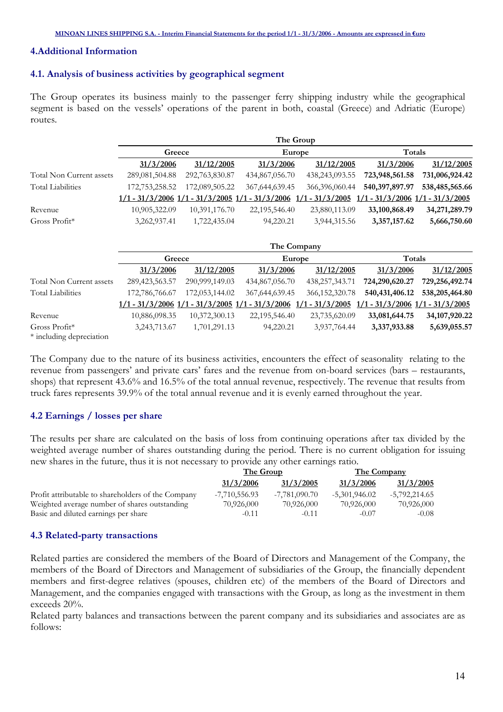#### 4.Additional Information

#### 4.1. Analysis of business activities by geographical segment

The Group operates its business mainly to the passenger ferry shipping industry while the geographical segment is based on the vessels' operations of the parent in both, coastal (Greece) and Adriatic (Europe) routes.

|                          |                                                                         |                |                   | The Group         |                                     |                                   |
|--------------------------|-------------------------------------------------------------------------|----------------|-------------------|-------------------|-------------------------------------|-----------------------------------|
|                          | Greece                                                                  |                |                   | Europe            | Totals                              |                                   |
|                          | 31/3/2006                                                               | 31/12/2005     | 31/3/2006         | 31/12/2005        | 31/3/2006                           | 31/12/2005                        |
| Total Non Current assets | 289,081,504.88                                                          | 292,763,830.87 | 434,867,056.70    | 438,243,093.55    | 723,948,561.58                      | 731,006,924.42                    |
| <b>Total Liabilities</b> | 172,753,258.52                                                          | 172,089,505.22 | 367,644,639.45    | 366,396,060.44    | 540,397,897.97                      | 538,485,565.66                    |
|                          | $1/1 - 31/3/2006$ $1/1 - 31/3/2005$ $1/1$                               |                | $-31/3/2006$      | $1/1 - 31/3/2005$ |                                     | $1 - 31/3/2006$ $1/1 - 31/3/2005$ |
| Revenue                  | 10,905,322.09                                                           | 10,391,176.70  | 22,195,546.40     | 23,880,113.09     | 33,100,868.49                       | 34,271,289.79                     |
| Gross Profit*            | 3,262,937.41                                                            | 1,722,435.04   | 94,220.21         | 3,944,315.56      | 3,357,157.62                        | 5,666,750.60                      |
|                          |                                                                         |                |                   |                   |                                     |                                   |
|                          |                                                                         |                |                   | The Company       |                                     |                                   |
|                          | Greece                                                                  |                |                   | Europe            | Totals                              |                                   |
|                          | 31/3/2006                                                               | 31/12/2005     | 31/3/2006         | 31/12/2005        | 31/3/2006                           | 31/12/2005                        |
| Total Non Current assets | 289, 423, 563. 57                                                       | 290,999,149.03 | 434,867,056.70    | 438,257,343.71    | 724,290,620.27                      | 729,256,492.74                    |
| <b>Total Liabilities</b> | 172,786,766.67                                                          | 172,053,144.02 | 367, 644, 639. 45 | 366, 152, 320. 78 | 540, 431, 406. 12                   | 538,205,464.80                    |
|                          | $1/1 - 31/3/2006$ $1/1 - 31/3/2005$ $1/1 - 31/3/2006$ $1/1 - 31/3/2005$ |                |                   |                   | $1/1 - 31/3/2006$ $1/1 - 31/3/2005$ |                                   |
| Revenue                  | 10,886,098.35                                                           | 10,372,300.13  | 22,195,546.40     | 23,735,620.09     | 33,081,644.75                       | 34, 107, 920. 22                  |
| Gross Profit*            | 3,243,713.67                                                            | 1,701,291.13   | 94,220.21         | 3,937,764.44      | 3,337,933.88                        | 5,639,055.57                      |
| * including depreciation |                                                                         |                |                   |                   |                                     |                                   |

The Company due to the nature of its business activities, encounters the effect of seasonality relating to the revenue from passengers' and private cars' fares and the revenue from on-board services (bars – restaurants, shops) that represent 43.6% and 16.5% of the total annual revenue, respectively. The revenue that results from truck fares represents 39.9% of the total annual revenue and it is evenly earned throughout the year.

#### 4.2 Earnings / losses per share

The results per share are calculated on the basis of loss from continuing operations after tax divided by the weighted average number of shares outstanding during the period. There is no current obligation for issuing new shares in the future, thus it is not necessary to provide any other earnings ratio.

|                                                    | The Group       |               | <b>The Company</b> |               |
|----------------------------------------------------|-----------------|---------------|--------------------|---------------|
|                                                    | 31/3/2006       | 31/3/2005     | 31/3/2006          | 31/3/2005     |
| Profit attributable to shareholders of the Company | $-7,710,556.93$ | -7.781.090.70 | $-5,301,946.02$    | -5,792,214.65 |
| Weighted average number of shares outstanding      | 70,926,000      | 70,926,000    | 70.926,000         | 70,926,000    |
| Basic and diluted earnings per share               | $-0.11$         | $-0.11$       | $-0.07$            | $-0.08$       |

#### 4.3 Related-party transactions

Related parties are considered the members of the Board of Directors and Management of the Company, the members of the Board of Directors and Management of subsidiaries of the Group, the financially dependent members and first-degree relatives (spouses, children etc) of the members of the Board of Directors and Management, and the companies engaged with transactions with the Group, as long as the investment in them exceeds 20%.

Related party balances and transactions between the parent company and its subsidiaries and associates are as follows: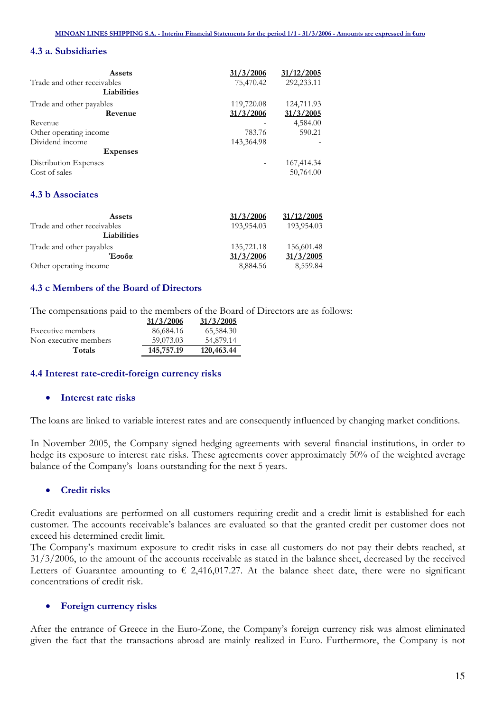## 4.3 a. Subsidiaries

| Assets                      | 31/3/2006  | 31/12/2005 |
|-----------------------------|------------|------------|
| Trade and other receivables | 75,470.42  | 292,233.11 |
| Liabilities                 |            |            |
| Trade and other payables    | 119,720.08 | 124,711.93 |
| Revenue                     | 31/3/2006  | 31/3/2005  |
| Revenue                     |            | 4,584.00   |
| Other operating income      | 783.76     | 590.21     |
| Dividend income             | 143,364.98 |            |
| <b>Expenses</b>             |            |            |
| Distribution Expenses       |            | 167,414.34 |
| Cost of sales               |            | 50,764.00  |

## 4.3 b Associates

| <b>Assets</b>               | 31/3/2006  | 31/12/2005 |
|-----------------------------|------------|------------|
| Trade and other receivables | 193,954.03 | 193,954.03 |
| <b>Liabilities</b>          |            |            |
| Trade and other payables    | 135,721.18 | 156,601.48 |
| Έσοδα                       | 31/3/2006  | 31/3/2005  |
| Other operating income      | 8,884.56   | 8,559.84   |

## 4.3 c Members of the Board of Directors

The compensations paid to the members of the Board of Directors are as follows:

|                       | 31/3/2006  | 31/3/2005  |
|-----------------------|------------|------------|
| Executive members     | 86,684.16  | 65,584.30  |
| Non-executive members | 59,073.03  | 54,879.14  |
| Totals                | 145,757.19 | 120,463.44 |

#### 4.4 Interest rate-credit-foreign currency risks

#### • Interest rate risks

The loans are linked to variable interest rates and are consequently influenced by changing market conditions.

In November 2005, the Company signed hedging agreements with several financial institutions, in order to hedge its exposure to interest rate risks. These agreements cover approximately 50% of the weighted average balance of the Company's loans outstanding for the next 5 years.

## • Credit risks

Credit evaluations are performed on all customers requiring credit and a credit limit is established for each customer. The accounts receivable's balances are evaluated so that the granted credit per customer does not exceed his determined credit limit.

The Company's maximum exposure to credit risks in case all customers do not pay their debts reached, at 31/3/2006, to the amount of the accounts receivable as stated in the balance sheet, decreased by the received Letters of Guarantee amounting to  $\epsilon$  2,416,017.27. At the balance sheet date, there were no significant concentrations of credit risk.

#### Foreign currency risks

After the entrance of Greece in the Euro-Zone, the Company's foreign currency risk was almost eliminated given the fact that the transactions abroad are mainly realized in Euro. Furthermore, the Company is not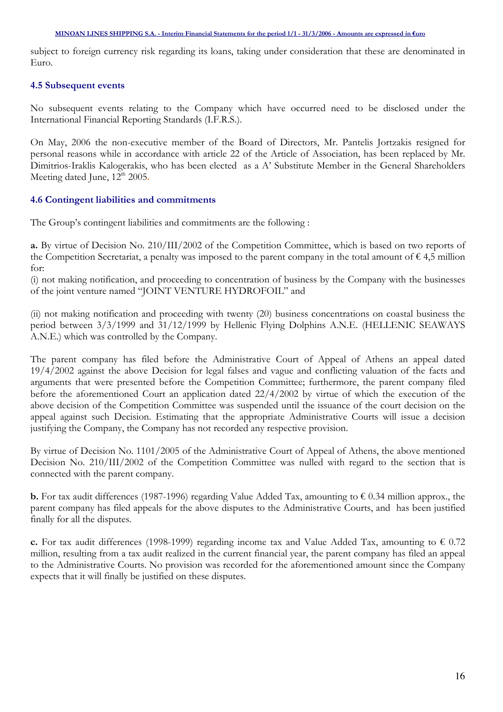subject to foreign currency risk regarding its loans, taking under consideration that these are denominated in Euro.

## 4.5 Subsequent events

No subsequent events relating to the Company which have occurred need to be disclosed under the International Financial Reporting Standards (I.F.R.S.).

On May, 2006 the non-executive member of the Board of Directors, Mr. Pantelis Jortzakis resigned for personal reasons while in accordance with article 22 of the Article of Association, has been replaced by Mr. Dimitrios-Iraklis Kalogerakis, who has been elected as a A' Substitute Member in the General Shareholders Meeting dated June,  $12<sup>th</sup> 2005$ .

## 4.6 Contingent liabilities and commitments

The Group's contingent liabilities and commitments are the following :

a. By virtue of Decision No. 210/III/2002 of the Competition Committee, which is based on two reports of the Competition Secretariat, a penalty was imposed to the parent company in the total amount of  $\epsilon$  4,5 million for:

(i) not making notification, and proceeding to concentration of business by the Company with the businesses of the joint venture named "JOINT VENTURE HYDROFOIL" and

(ii) not making notification and proceeding with twenty (20) business concentrations on coastal business the period between 3/3/1999 and 31/12/1999 by Hellenic Flying Dolphins A.N.E. (HELLENIC SEAWAYS A.N.E.) which was controlled by the Company.

The parent company has filed before the Administrative Court of Appeal of Athens an appeal dated 19/4/2002 against the above Decision for legal falses and vague and conflicting valuation of the facts and arguments that were presented before the Competition Committee; furthermore, the parent company filed before the aforementioned Court an application dated 22/4/2002 by virtue of which the execution of the above decision of the Competition Committee was suspended until the issuance of the court decision on the appeal against such Decision. Estimating that the appropriate Administrative Courts will issue a decision justifying the Company, the Company has not recorded any respective provision.

By virtue of Decision No. 1101/2005 of the Administrative Court of Appeal of Athens, the above mentioned Decision No. 210/III/2002 of the Competition Committee was nulled with regard to the section that is connected with the parent company.

**b.** For tax audit differences (1987-1996) regarding Value Added Tax, amounting to  $\epsilon$  0.34 million approx., the parent company has filed appeals for the above disputes to the Administrative Courts, and has been justified finally for all the disputes.

c. For tax audit differences (1998-1999) regarding income tax and Value Added Tax, amounting to  $\epsilon$  0.72 million, resulting from a tax audit realized in the current financial year, the parent company has filed an appeal to the Administrative Courts. No provision was recorded for the aforementioned amount since the Company expects that it will finally be justified on these disputes.